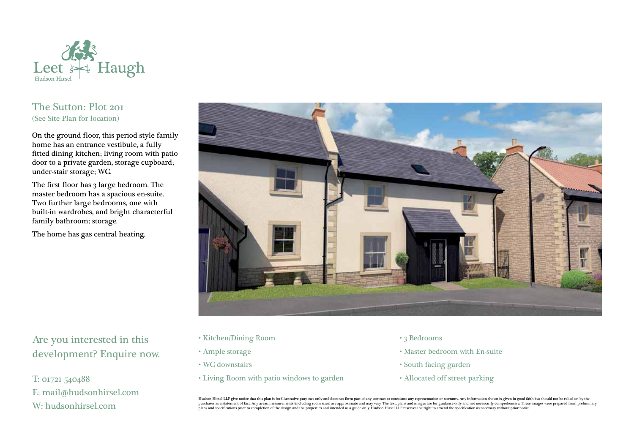

## The Sutton: Plot 201 (See Site Plan for location)

On the ground floor, this period style family home has an entrance vestibule, a fully fitted dining kitchen; living room with patio door to a private garden, storage cupboard; under-stair storage; WC.

The first floor has 3 large bedroom. The master bedroom has a spacious en-suite. Two further large bedrooms, one with built-in wardrobes, and bright characterful family bathroom; storage.

The home has gas central heating.



Are you interested in this development? Enquire now.

T: 01721 540488 E: mail@hudsonhirsel.com W: hudsonhirsel.com

- Kitchen/Dining Room
- Ample storage
- WC downstairs
- Living Room with patio windows to garden
- 3 Bedrooms
- Master bedroom with En-suite
- South facing garden
- Allocated off street parking

Hudson Hirsel LLP give notice that this plan is for illustrative purposes only and does not form part of any contract or constitute any representation or warranty. Any information shown is given in good faith but should no purchaser as a statement of fact. Any areas, measurements (including room sizes) are approximate and may vary. The text, plans and images are for guidance only and not necessarily comprehensive. These images were prepared